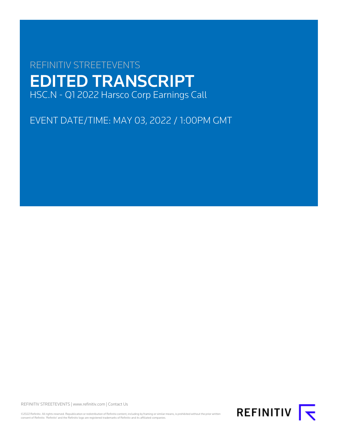# REFINITIV STREETEVENTS EDITED TRANSCRIPT HSC.N - Q1 2022 Harsco Corp Earnings Call

EVENT DATE/TIME: MAY 03, 2022 / 1:00PM GMT

REFINITIV STREETEVENTS | [www.refinitiv.com](https://www.refinitiv.com/) | [Contact Us](https://www.refinitiv.com/en/contact-us)

©2022 Refinitiv. All rights reserved. Republication or redistribution of Refinitiv content, including by framing or similar means, is prohibited without the prior written<br>consent of Refinitiv. 'Refinitiv' and the Refinitiv

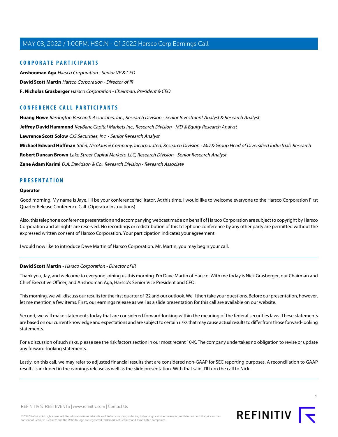# **CORPORATE PARTICIPANTS**

**[Anshooman Aga](#page-3-0)** Harsco Corporation - Senior VP & CFO **[David Scott Martin](#page-1-0)** Harsco Corporation - Director of IR **[F. Nicholas Grasberger](#page-2-0)** Harsco Corporation - Chairman, President & CEO

# **CONFERENCE CALL PARTICIPANTS**

**[Huang Howe](#page-8-0)** Barrington Research Associates, Inc., Research Division - Senior Investment Analyst & Research Analyst

**[Jeffrey David Hammond](#page-11-0)** KeyBanc Capital Markets Inc., Research Division - MD & Equity Research Analyst

**[Lawrence Scott Solow](#page-6-0)** CJS Securities, Inc. - Senior Research Analyst

**[Michael Edward Hoffman](#page-5-0)** Stifel, Nicolaus & Company, Incorporated, Research Division - MD & Group Head of Diversified Industrials Research

**[Robert Duncan Brown](#page-8-1)** Lake Street Capital Markets, LLC, Research Division - Senior Research Analyst

**[Zane Adam Karimi](#page-10-0)** D.A. Davidson & Co., Research Division - Research Associate

# **PRESENTATION**

## **Operator**

Good morning. My name is Jaye, I'll be your conference facilitator. At this time, I would like to welcome everyone to the Harsco Corporation First Quarter Release Conference Call. (Operator Instructions)

Also, this telephone conference presentation and accompanying webcast made on behalf of Harsco Corporation are subject to copyright by Harsco Corporation and all rights are reserved. No recordings or redistribution of this telephone conference by any other party are permitted without the expressed written consent of Harsco Corporation. Your participation indicates your agreement.

<span id="page-1-0"></span>I would now like to introduce Dave Martin of Harsco Corporation. Mr. Martin, you may begin your call.

# **David Scott Martin** - Harsco Corporation - Director of IR

Thank you, Jay, and welcome to everyone joining us this morning. I'm Dave Martin of Harsco. With me today is Nick Grasberger, our Chairman and Chief Executive Officer; and Anshooman Aga, Harsco's Senior Vice President and CFO.

This morning, we will discuss our results for the first quarter of '22 and our outlook. We'll then take your questions. Before our presentation, however, let me mention a few items. First, our earnings release as well as a slide presentation for this call are available on our website.

Second, we will make statements today that are considered forward-looking within the meaning of the federal securities laws. These statements are based on our current knowledge and expectations and are subject to certain risks that may cause actual results to differ from those forward-looking statements.

For a discussion of such risks, please see the risk factors section in our most recent 10-K. The company undertakes no obligation to revise or update any forward-looking statements.

Lastly, on this call, we may refer to adjusted financial results that are considered non-GAAP for SEC reporting purposes. A reconciliation to GAAP results is included in the earnings release as well as the slide presentation. With that said, I'll turn the call to Nick.

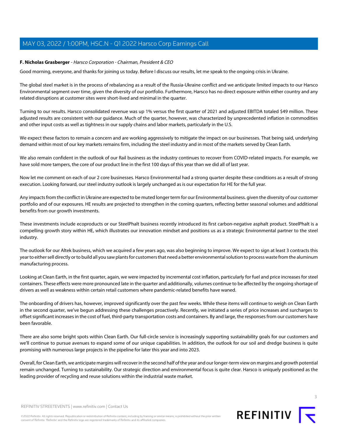# <span id="page-2-0"></span>**F. Nicholas Grasberger** - Harsco Corporation - Chairman, President & CEO

Good morning, everyone, and thanks for joining us today. Before I discuss our results, let me speak to the ongoing crisis in Ukraine.

The global steel market is in the process of rebalancing as a result of the Russia-Ukraine conflict and we anticipate limited impacts to our Harsco Environmental segment over time, given the diversity of our portfolio. Furthermore, Harsco has no direct exposure within either country and any related disruptions at customer sites were short-lived and minimal in the quarter.

Turning to our results. Harsco consolidated revenue was up 1% versus the first quarter of 2021 and adjusted EBITDA totaled \$49 million. These adjusted results are consistent with our guidance. Much of the quarter, however, was characterized by unprecedented inflation in commodities and other input costs as well as tightness in our supply chains and labor markets, particularly in the U.S.

We expect these factors to remain a concern and are working aggressively to mitigate the impact on our businesses. That being said, underlying demand within most of our key markets remains firm, including the steel industry and in most of the markets served by Clean Earth.

We also remain confident in the outlook of our Rail business as the industry continues to recover from COVID-related impacts. For example, we have sold more tampers, the core of our product line in the first 100 days of this year than we did all of last year.

Now let me comment on each of our 2 core businesses. Harsco Environmental had a strong quarter despite these conditions as a result of strong execution. Looking forward, our steel industry outlook is largely unchanged as is our expectation for HE for the full year.

Any impacts from the conflict in Ukraine are expected to be muted longer term for our Environmental business. given the diversity of our customer portfolio and of our exposures. HE results are projected to strengthen in the coming quarters, reflecting better seasonal volumes and additional benefits from our growth investments.

These investments include ecoproducts or our SteelPhalt business recently introduced its first carbon-negative asphalt product. SteelPhalt is a compelling growth story within HE, which illustrates our innovation mindset and positions us as a strategic Environmental partner to the steel industry.

The outlook for our Altek business, which we acquired a few years ago, was also beginning to improve. We expect to sign at least 3 contracts this year to either sell directly or to build all you saw plants for customers that need a better environmental solution to process waste from the aluminum manufacturing process.

Looking at Clean Earth, in the first quarter, again, we were impacted by incremental cost inflation, particularly for fuel and price increases for steel containers. These effects were more pronounced late in the quarter and additionally, volumes continue to be affected by the ongoing shortage of drivers as well as weakness within certain retail customers where pandemic-related benefits have waned.

The onboarding of drivers has, however, improved significantly over the past few weeks. While these items will continue to weigh on Clean Earth in the second quarter, we've begun addressing these challenges proactively. Recently, we initiated a series of price increases and surcharges to offset significant increases in the cost of fuel, third-party transportation costs and containers. By and large, the responses from our customers have been favorable.

There are also some bright spots within Clean Earth. Our full-circle service is increasingly supporting sustainability goals for our customers and we'll continue to pursue avenues to expand some of our unique capabilities. In addition, the outlook for our soil and dredge business is quite promising with numerous large projects in the pipeline for later this year and into 2023.

Overall, for Clean Earth, we anticipate margins will recover in the second half of the year and our longer-term view on margins and growth potential remain unchanged. Turning to sustainability. Our strategic direction and environmental focus is quite clear. Harsco is uniquely positioned as the leading provider of recycling and reuse solutions within the industrial waste market.

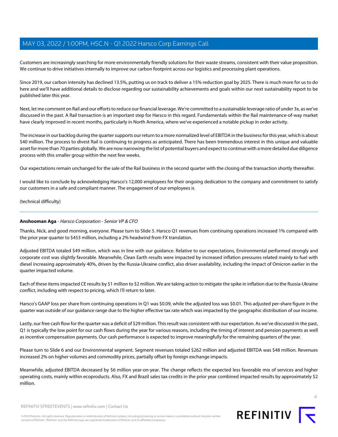Customers are increasingly searching for more environmentally friendly solutions for their waste streams, consistent with their value proposition. We continue to drive initiatives internally to improve our carbon footprint across our logistics and processing plant operations.

Since 2019, our carbon intensity has declined 13.5%, putting us on track to deliver a 15% reduction goal by 2025. There is much more for us to do here and we'll have additional details to disclose regarding our sustainability achievements and goals within our next sustainability report to be published later this year.

Next, let me comment on Rail and our efforts to reduce our financial leverage. We're committed to a sustainable leverage ratio of under 3x, as we've discussed in the past. A Rail transaction is an important step for Harsco in this regard. Fundamentals within the Rail maintenance-of-way market have clearly improved in recent months, particularly in North America, where we've experienced a notable pickup in order activity.

The increase in our backlog during the quarter supports our return to a more normalized level of EBITDA in the business for this year, which is about \$40 million. The process to divest Rail is continuing to progress as anticipated. There has been tremendous interest in this unique and valuable asset for more than 70 parties globally. We are now narrowing the list of potential buyers and expect to continue with a more detailed due diligence process with this smaller group within the next few weeks.

Our expectations remain unchanged for the sale of the Rail business in the second quarter with the closing of the transaction shortly thereafter.

I would like to conclude by acknowledging Harsco's 12,000 employees for their ongoing dedication to the company and commitment to satisfy our customers in a safe and compliant manner. The engagement of our employees is

<span id="page-3-0"></span>(technical difficulty)

# **Anshooman Aga** - Harsco Corporation - Senior VP & CFO

Thanks, Nick, and good morning, everyone. Please turn to Slide 5. Harsco Q1 revenues from continuing operations increased 1% compared with the prior year quarter to \$453 million, including a 2% headwind from FX translation.

Adjusted EBITDA totaled \$49 million, which was in line with our guidance. Relative to our expectations, Environmental performed strongly and corporate cost was slightly favorable. Meanwhile, Clean Earth results were impacted by increased inflation pressures related mainly to fuel with diesel increasing approximately 40%, driven by the Russia-Ukraine conflict, also driver availability, including the impact of Omicron earlier in the quarter impacted volume.

Each of these items impacted CE results by \$1 million to \$2 million. We are taking action to mitigate the spike in inflation due to the Russia-Ukraine conflict, including with respect to pricing, which I'll return to later.

Harsco's GAAP loss per share from continuing operations in Q1 was \$0.09, while the adjusted loss was \$0.01. This adjusted per-share figure in the quarter was outside of our guidance range due to the higher effective tax rate which was impacted by the geographic distribution of our income.

Lastly, our free cash flow for the quarter was a deficit of \$29 million. This result was consistent with our expectation. As we've discussed in the past, Q1 is typically the low point for our cash flows during the year for various reasons, including the timing of interest and pension payments as well as incentive compensation payments. Our cash performance is expected to improve meaningfully for the remaining quarters of the year.

Please turn to Slide 6 and our Environmental segment. Segment revenues totaled \$262 million and adjusted EBITDA was \$48 million. Revenues increased 2% on higher volumes and commodity prices, partially offset by foreign exchange impacts.

Meanwhile, adjusted EBITDA decreased by \$6 million year-on-year. The change reflects the expected less favorable mix of services and higher operating costs, mainly within ecoproducts. Also, FX and Brazil sales tax credits in the prior year combined impacted results by approximately \$2 million.



REFINITIV STREETEVENTS | [www.refinitiv.com](https://www.refinitiv.com/) | [Contact Us](https://www.refinitiv.com/en/contact-us)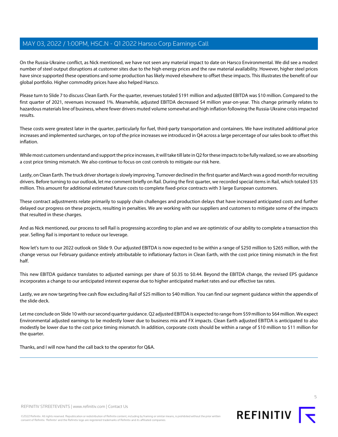On the Russia-Ukraine conflict, as Nick mentioned, we have not seen any material impact to date on Harsco Environmental. We did see a modest number of steel output disruptions at customer sites due to the high energy prices and the raw material availability. However, higher steel prices have since supported these operations and some production has likely moved elsewhere to offset these impacts. This illustrates the benefit of our global portfolio. Higher commodity prices have also helped Harsco.

Please turn to Slide 7 to discuss Clean Earth. For the quarter, revenues totaled \$191 million and adjusted EBITDA was \$10 million. Compared to the first quarter of 2021, revenues increased 1%. Meanwhile, adjusted EBITDA decreased \$4 million year-on-year. This change primarily relates to hazardous materials line of business, where fewer drivers muted volume somewhat and high inflation following the Russia-Ukraine crisis impacted results.

These costs were greatest later in the quarter, particularly for fuel, third-party transportation and containers. We have instituted additional price increases and implemented surcharges, on top of the price increases we introduced in Q4 across a large percentage of our sales book to offset this inflation.

While most customers understand and support the price increases, it will take till late in Q2 for these impacts to be fully realized, so we are absorbing a cost price timing mismatch. We also continue to focus on cost controls to mitigate our risk here.

Lastly, on Clean Earth. The truck driver shortage is slowly improving. Turnover declined in the first quarter and March was a good month for recruiting drivers. Before turning to our outlook, let me comment briefly on Rail. During the first quarter, we recorded special items in Rail, which totaled \$35 million. This amount for additional estimated future costs to complete fixed-price contracts with 3 large European customers.

These contract adjustments relate primarily to supply chain challenges and production delays that have increased anticipated costs and further delayed our progress on these projects, resulting in penalties. We are working with our suppliers and customers to mitigate some of the impacts that resulted in these charges.

And as Nick mentioned, our process to sell Rail is progressing according to plan and we are optimistic of our ability to complete a transaction this year. Selling Rail is important to reduce our leverage.

Now let's turn to our 2022 outlook on Slide 9. Our adjusted EBITDA is now expected to be within a range of \$250 million to \$265 million, with the change versus our February guidance entirely attributable to inflationary factors in Clean Earth, with the cost price timing mismatch in the first half.

This new EBITDA guidance translates to adjusted earnings per share of \$0.35 to \$0.44. Beyond the EBITDA change, the revised EPS guidance incorporates a change to our anticipated interest expense due to higher anticipated market rates and our effective tax rates.

Lastly, we are now targeting free cash flow excluding Rail of \$25 million to \$40 million. You can find our segment guidance within the appendix of the slide deck.

Let me conclude on Slide 10 with our second quarter guidance. Q2 adjusted EBITDA is expected to range from \$59 million to \$64 million. We expect Environmental adjusted earnings to be modestly lower due to business mix and FX impacts. Clean Earth adjusted EBITDA is anticipated to also modestly be lower due to the cost price timing mismatch. In addition, corporate costs should be within a range of \$10 million to \$11 million for the quarter.

Thanks, and I will now hand the call back to the operator for Q&A.

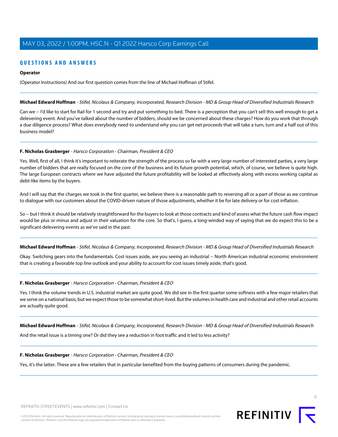# **QUESTIONS AND ANSWERS**

## **Operator**

<span id="page-5-0"></span>(Operator Instructions) And our first question comes from the line of Michael Hoffman of Stifel.

#### **Michael Edward Hoffman** - Stifel, Nicolaus & Company, Incorporated, Research Division - MD & Group Head of Diversified Industrials Research

Can we -- I'd like to start for Rail for 1 second and try and put something to bed. There is a perception that you can't sell this well enough to get a delevering event. And you've talked about the number of bidders, should we be concerned about these charges? How do you work that through a due diligence process? What does everybody need to understand why you can get net proceeds that will take a turn, turn and a half out of this business model?

#### **F. Nicholas Grasberger** - Harsco Corporation - Chairman, President & CEO

Yes. Well, first of all, I think it's important to reiterate the strength of the process so far with a very large number of interested parties, a very large number of bidders that are really focused on the core of the business and its future growth potential, which, of course, we believe is quite high. The large European contracts where we have adjusted the future profitability will be looked at effectively along with excess working capital as debt-like items by the buyers.

And I will say that the charges we took in the first quarter, we believe there is a reasonable path to reversing all or a part of those as we continue to dialogue with our customers about the COVID-driven nature of those adjustments, whether it be for late delivery or for cost inflation.

So -- but I think it should be relatively straightforward for the buyers to look at those contracts and kind of assess what the future cash flow impact would be plus or minus and adjust in their valuation for the core. So that's, I guess, a long-winded way of saying that we do expect this to be a significant delevering events as we've said in the past.

**Michael Edward Hoffman** - Stifel, Nicolaus & Company, Incorporated, Research Division - MD & Group Head of Diversified Industrials Research

Okay. Switching gears into the fundamentals. Cost issues aside, are you seeing an industrial -- North American industrial economic environment that is creating a favorable top line outlook and your ability to account for cost issues timely aside, that's good.

# **F. Nicholas Grasberger** - Harsco Corporation - Chairman, President & CEO

Yes. I think the volume trends in U.S. industrial market are quite good. We did see in the first quarter some softness with a few major retailers that we serve on a national basis, but we expect those to be somewhat short-lived. But the volumes in health care and industrial and other retail accounts are actually quite good.

**Michael Edward Hoffman** - Stifel, Nicolaus & Company, Incorporated, Research Division - MD & Group Head of Diversified Industrials Research

And the retail issue is a timing one? Or did they see a reduction in foot traffic and it led to less activity?

#### **F. Nicholas Grasberger** - Harsco Corporation - Chairman, President & CEO

Yes, it's the latter. These are a few retailers that in particular benefited from the buying patterns of consumers during the pandemic.

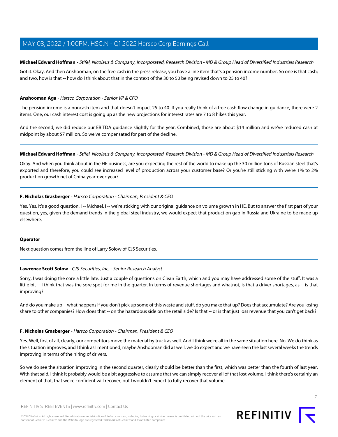# **Michael Edward Hoffman** - Stifel, Nicolaus & Company, Incorporated, Research Division - MD & Group Head of Diversified Industrials Research

Got it. Okay. And then Anshooman, on the free cash in the press release, you have a line item that's a pension income number. So one is that cash; and two, how is that -- how do I think about that in the context of the 30 to 50 being revised down to 25 to 40?

# **Anshooman Aga** - Harsco Corporation - Senior VP & CFO

The pension income is a noncash item and that doesn't impact 25 to 40. If you really think of a free cash flow change in guidance, there were 2 items. One, our cash interest cost is going up as the new projections for interest rates are 7 to 8 hikes this year.

And the second, we did reduce our EBITDA guidance slightly for the year. Combined, those are about \$14 million and we've reduced cash at midpoint by about \$7 million. So we've compensated for part of the decline.

#### **Michael Edward Hoffman** - Stifel, Nicolaus & Company, Incorporated, Research Division - MD & Group Head of Diversified Industrials Research

Okay. And when you think about in the HE business, are you expecting the rest of the world to make up the 30 million tons of Russian steel that's exported and therefore, you could see increased level of production across your customer base? Or you're still sticking with we're 1% to 2% production growth net of China year-over-year?

# **F. Nicholas Grasberger** - Harsco Corporation - Chairman, President & CEO

Yes. Yes, it's a good question. I -- Michael, I -- we're sticking with our original guidance on volume growth in HE. But to answer the first part of your question, yes, given the demand trends in the global steel industry, we would expect that production gap in Russia and Ukraine to be made up elsewhere.

#### <span id="page-6-0"></span>**Operator**

Next question comes from the line of Larry Solow of CJS Securities.

# **Lawrence Scott Solow** - CJS Securities, Inc. - Senior Research Analyst

Sorry, I was doing the core a little late. Just a couple of questions on Clean Earth, which and you may have addressed some of the stuff. It was a little bit -- I think that was the sore spot for me in the quarter. In terms of revenue shortages and whatnot, is that a driver shortages, as -- is that improving?

And do you make up -- what happens if you don't pick up some of this waste and stuff, do you make that up? Does that accumulate? Are you losing share to other companies? How does that -- on the hazardous side on the retail side? Is that -- or is that just loss revenue that you can't get back?

# **F. Nicholas Grasberger** - Harsco Corporation - Chairman, President & CEO

Yes. Well, first of all, clearly, our competitors move the material by truck as well. And I think we're all in the same situation here. No. We do think as the situation improves, and I think as I mentioned, maybe Anshooman did as well, we do expect and we have seen the last several weeks the trends improving in terms of the hiring of drivers.

So we do see the situation improving in the second quarter, clearly should be better than the first, which was better than the fourth of last year. With that said, I think it probably would be a bit aggressive to assume that we can simply recover all of that lost volume. I think there's certainly an element of that, that we're confident will recover, but I wouldn't expect to fully recover that volume.

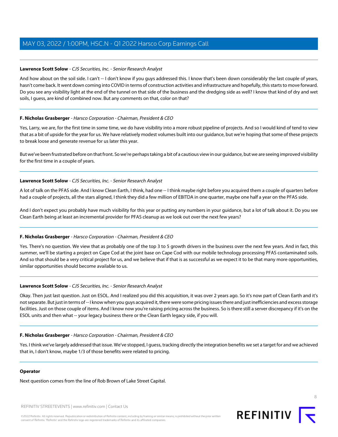# **Lawrence Scott Solow** - CJS Securities, Inc. - Senior Research Analyst

And how about on the soil side. I can't -- I don't know if you guys addressed this. I know that's been down considerably the last couple of years, hasn't come back. It went down coming into COVID in terms of construction activities and infrastructure and hopefully, this starts to move forward. Do you see any visibility light at the end of the tunnel on that side of the business and the dredging side as well? I know that kind of dry and wet soils, I guess, are kind of combined now. But any comments on that, color on that?

# **F. Nicholas Grasberger** - Harsco Corporation - Chairman, President & CEO

Yes, Larry, we are, for the first time in some time, we do have visibility into a more robust pipeline of projects. And so I would kind of tend to view that as a bit of upside for the year for us. We have relatively modest volumes built into our guidance, but we're hoping that some of these projects to break loose and generate revenue for us later this year.

But we've been frustrated before on that front. So we're perhaps taking a bit of a cautious view in our guidance, but we are seeing improved visibility for the first time in a couple of years.

# **Lawrence Scott Solow** - CJS Securities, Inc. - Senior Research Analyst

A lot of talk on the PFAS side. And I know Clean Earth, I think, had one -- I think maybe right before you acquired them a couple of quarters before had a couple of projects, all the stars aligned, I think they did a few million of EBITDA in one quarter, maybe one half a year on the PFAS side.

And I don't expect you probably have much visibility for this year or putting any numbers in your guidance, but a lot of talk about it. Do you see Clean Earth being at least an incremental provider for PFAS cleanup as we look out over the next few years?

# **F. Nicholas Grasberger** - Harsco Corporation - Chairman, President & CEO

Yes. There's no question. We view that as probably one of the top 3 to 5 growth drivers in the business over the next few years. And in fact, this summer, we'll be starting a project on Cape Cod at the joint base on Cape Cod with our mobile technology processing PFAS contaminated soils. And so that should be a very critical project for us, and we believe that if that is as successful as we expect it to be that many more opportunities, similar opportunities should become available to us.

# **Lawrence Scott Solow** - CJS Securities, Inc. - Senior Research Analyst

Okay. Then just last question. Just on ESOL. And I realized you did this acquisition, it was over 2 years ago. So it's now part of Clean Earth and it's not separate. But just in terms of -- I know when you guys acquired it, there were some pricing issues there and just inefficiencies and excess storage facilities. Just on those couple of items. And I know now you're raising pricing across the business. So is there still a server discrepancy if it's on the ESOL units and then what -- your legacy business there or the Clean Earth legacy side, if you will.

# **F. Nicholas Grasberger** - Harsco Corporation - Chairman, President & CEO

Yes. I think we've largely addressed that issue. We've stopped, I guess, tracking directly the integration benefits we set a target for and we achieved that in, I don't know, maybe 1/3 of those benefits were related to pricing.

# **Operator**

Next question comes from the line of Rob Brown of Lake Street Capital.

REFINITIV STREETEVENTS | [www.refinitiv.com](https://www.refinitiv.com/) | [Contact Us](https://www.refinitiv.com/en/contact-us)

©2022 Refinitiv. All rights reserved. Republication or redistribution of Refinitiv content, including by framing or similar means, is prohibited without the prior written consent of Refinitiv. 'Refinitiv' and the Refinitiv logo are registered trademarks of Refinitiv and its affiliated companies.

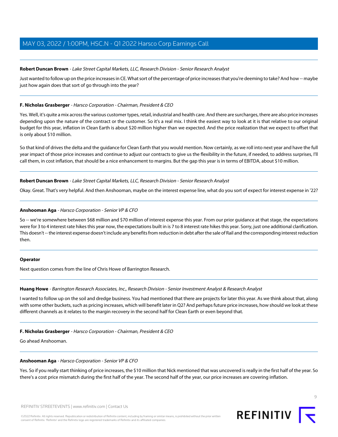#### <span id="page-8-1"></span>**Robert Duncan Brown** - Lake Street Capital Markets, LLC, Research Division - Senior Research Analyst

Just wanted to follow up on the price increases in CE. What sort of the percentage of price increases that you're deeming to take? And how -- maybe just how again does that sort of go through into the year?

#### **F. Nicholas Grasberger** - Harsco Corporation - Chairman, President & CEO

Yes. Well, it's quite a mix across the various customer types, retail, industrial and health care. And there are surcharges, there are also price increases depending upon the nature of the contract or the customer. So it's a real mix. I think the easiest way to look at it is that relative to our original budget for this year, inflation in Clean Earth is about \$20 million higher than we expected. And the price realization that we expect to offset that is only about \$10 million.

So that kind of drives the delta and the guidance for Clean Earth that you would mention. Now certainly, as we roll into next year and have the full year impact of those price increases and continue to adjust our contracts to give us the flexibility in the future, if needed, to address surprises, I'll call them, in cost inflation, that should be a nice enhancement to margins. But the gap this year is in terms of EBITDA, about \$10 million.

**Robert Duncan Brown** - Lake Street Capital Markets, LLC, Research Division - Senior Research Analyst

Okay. Great. That's very helpful. And then Anshooman, maybe on the interest expense line, what do you sort of expect for interest expense in '22?

#### **Anshooman Aga** - Harsco Corporation - Senior VP & CFO

So -- we're somewhere between \$68 million and \$70 million of interest expense this year. From our prior guidance at that stage, the expectations were for 3 to 4 interest rate hikes this year now, the expectations built in is 7 to 8 interest rate hikes this year. Sorry, just one additional clarification. This doesn't -- the interest expense doesn't include any benefits from reduction in debt after the sale of Rail and the corresponding interest reduction then.

#### <span id="page-8-0"></span>**Operator**

Next question comes from the line of Chris Howe of Barrington Research.

#### **Huang Howe** - Barrington Research Associates, Inc., Research Division - Senior Investment Analyst & Research Analyst

I wanted to follow up on the soil and dredge business. You had mentioned that there are projects for later this year. As we think about that, along with some other buckets, such as pricing increases, which will benefit later in Q2? And perhaps future price increases, how should we look at these different channels as it relates to the margin recovery in the second half for Clean Earth or even beyond that.

# **F. Nicholas Grasberger** - Harsco Corporation - Chairman, President & CEO

Go ahead Anshooman.

#### **Anshooman Aga** - Harsco Corporation - Senior VP & CFO

Yes. So if you really start thinking of price increases, the \$10 million that Nick mentioned that was uncovered is really in the first half of the year. So there's a cost price mismatch during the first half of the year. The second half of the year, our price increases are covering inflation.

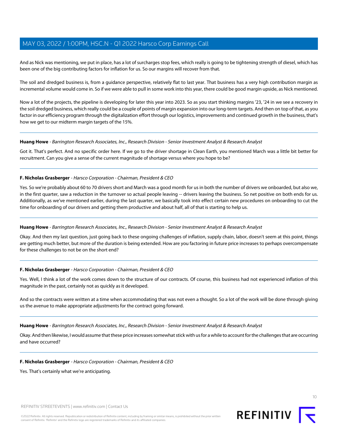And as Nick was mentioning, we put in place, has a lot of surcharges stop fees, which really is going to be tightening strength of diesel, which has been one of the big contributing factors for inflation for us. So our margins will recover from that.

The soil and dredged business is, from a guidance perspective, relatively flat to last year. That business has a very high contribution margin as incremental volume would come in. So if we were able to pull in some work into this year, there could be good margin upside, as Nick mentioned.

Now a lot of the projects, the pipeline is developing for later this year into 2023. So as you start thinking margins '23, '24 in we see a recovery in the soil dredged business, which really could be a couple of points of margin expansion into our long-term targets. And then on top of that, as you factor in our efficiency program through the digitalization effort through our logistics, improvements and continued growth in the business, that's how we get to our midterm margin targets of the 15%.

#### **Huang Howe** - Barrington Research Associates, Inc., Research Division - Senior Investment Analyst & Research Analyst

Got it. That's perfect. And no specific order here. If we go to the driver shortage in Clean Earth, you mentioned March was a little bit better for recruitment. Can you give a sense of the current magnitude of shortage versus where you hope to be?

#### **F. Nicholas Grasberger** - Harsco Corporation - Chairman, President & CEO

Yes. So we're probably about 60 to 70 drivers short and March was a good month for us in both the number of drivers we onboarded, but also we, in the first quarter, saw a reduction in the turnover so actual people leaving -- drivers leaving the business. So net positive on both ends for us. Additionally, as we've mentioned earlier, during the last quarter, we basically took into effect certain new procedures on onboarding to cut the time for onboarding of our drivers and getting them productive and about half, all of that is starting to help us.

#### **Huang Howe** - Barrington Research Associates, Inc., Research Division - Senior Investment Analyst & Research Analyst

Okay. And then my last question, just going back to these ongoing challenges of inflation, supply chain, labor, doesn't seem at this point, things are getting much better, but more of the duration is being extended. How are you factoring in future price increases to perhaps overcompensate for these challenges to not be on the short end?

# **F. Nicholas Grasberger** - Harsco Corporation - Chairman, President & CEO

Yes. Well, I think a lot of the work comes down to the structure of our contracts. Of course, this business had not experienced inflation of this magnitude in the past, certainly not as quickly as it developed.

And so the contracts were written at a time when accommodating that was not even a thought. So a lot of the work will be done through giving us the avenue to make appropriate adjustments for the contract going forward.

**Huang Howe** - Barrington Research Associates, Inc., Research Division - Senior Investment Analyst & Research Analyst

Okay. And then likewise, I would assume that these price increases somewhat stick with us for a while to account for the challenges that are occurring and have occurred?

#### **F. Nicholas Grasberger** - Harsco Corporation - Chairman, President & CEO

Yes. That's certainly what we're anticipating.

REFINITIV STREETEVENTS | [www.refinitiv.com](https://www.refinitiv.com/) | [Contact Us](https://www.refinitiv.com/en/contact-us)

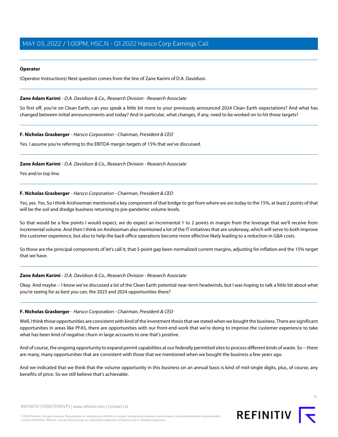# **Operator**

(Operator Instructions) Next question comes from the line of Zane Karimi of D.A. Davidson.

# <span id="page-10-0"></span>**Zane Adam Karimi** - D.A. Davidson & Co., Research Division - Research Associate

So first off, you're on Clean Earth, can you speak a little bit more to your previously announced 2024 Clean Earth expectations? And what has changed between initial announcements and today? And in particular, what changes, if any, need to be worked on to hit those targets?

# **F. Nicholas Grasberger** - Harsco Corporation - Chairman, President & CEO

Yes. I assume you're referring to the EBITDA margin targets of 15% that we've discussed.

# **Zane Adam Karimi** - D.A. Davidson & Co., Research Division - Research Associate

Yes and/or top line.

# **F. Nicholas Grasberger** - Harsco Corporation - Chairman, President & CEO

Yes, yes. Yes. So I think Anshooman mentioned a key component of that bridge to get from where we are today to the 15%, at least 2 points of that will be the soil and dredge business returning to pre-pandemic volume levels.

So that would be a few points I would expect, we do expect an incremental 1 to 2 points in margin from the leverage that we'll receive from incremental volume. And then I think on Anshooman also mentioned a lot of the IT initiatives that are underway, which will serve to both improve the customer experience, but also to help the back office operations become more effective likely leading to a reduction in G&A costs.

So those are the principal components of let's call it, that 5-point gap been normalized current margins, adjusting for inflation and the 15% target that we have.

# **Zane Adam Karimi** - D.A. Davidson & Co., Research Division - Research Associate

Okay. And maybe -- I know we've discussed a lot of the Clean Earth potential near-term headwinds, but I was hoping to talk a little bit about what you're seeing for as best you can, the 2023 and 2024 opportunities there?

# **F. Nicholas Grasberger** - Harsco Corporation - Chairman, President & CEO

Well, I think those opportunities are consistent with kind of the investment thesis that we stated when we bought the business. There are significant opportunities in areas like PFAS, there are opportunities with our front-end work that we're doing to improve the customer experience to take what has been kind of negative churn in large accounts to one that's positive.

And of course, the ongoing opportunity to expand permit capabilities at our federally permitted sites to process different kinds of waste. So -- there are many, many opportunities that are consistent with those that we mentioned when we bought the business a few years ago.

And we indicated that we think that the volume opportunity in this business on an annual basis is kind of mid-single digits, plus, of course, any benefits of price. So we still believe that's achievable.

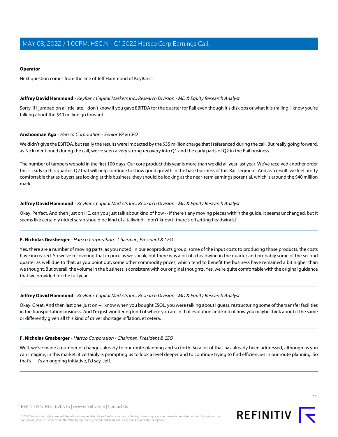## **Operator**

<span id="page-11-0"></span>Next question comes from the line of Jeff Hammond of KeyBanc.

## **Jeffrey David Hammond** - KeyBanc Capital Markets Inc., Research Division - MD & Equity Research Analyst

Sorry, if I jumped on a little late. I don't know if you gave EBITDA for the quarter for Rail even though it's disk ops or what it is trailing. I know you're talking about the \$40 million go forward.

#### **Anshooman Aga** - Harsco Corporation - Senior VP & CFO

We didn't give the EBITDA, but really the results were impacted by the \$35 million charge that I referenced during the call. But really going forward, as Nick mentioned during the call, we've seen a very strong recovery into Q1 and the early parts of Q2 in the Rail business.

The number of tampers we sold in the first 100 days. Our core product this year is more than we did all year last year. We've received another order this -- early in this quarter. Q2 that will help continue to show good growth in the base business of this Rail segment. And as a result, we feel pretty comfortable that as buyers are looking at this business, they should be looking at the near-term earnings potential, which is around the \$40 million mark.

#### **Jeffrey David Hammond** - KeyBanc Capital Markets Inc., Research Division - MD & Equity Research Analyst

Okay. Perfect. And then just on HE, can you just talk about kind of how -- if there's any moving pieces within the guide, it seems unchanged, but it seems like certainly nickel scrap should be kind of a tailwind. I don't know if there's offsetting headwinds?

#### **F. Nicholas Grasberger** - Harsco Corporation - Chairman, President & CEO

Yes, there are a number of moving parts, as you noted, in our ecoproducts group, some of the input costs to producing those products, the costs have increased. So we've recovering that in price as we speak, but there was a bit of a headwind in the quarter and probably some of the second quarter as well due to that, as you point out, some other commodity prices, which tend to benefit the business have remained a bit higher than we thought. But overall, the volume in the business is consistent with our original thoughts. Yes, we're quite comfortable with the original guidance that we provided for the full year.

#### **Jeffrey David Hammond** - KeyBanc Capital Markets Inc., Research Division - MD & Equity Research Analyst

Okay. Great. And then last one, just on -- I know when you bought ESOL, you were talking about I guess, restructuring some of the transfer facilities in the transportation business. And I'm just wondering kind of where you are in that evolution and kind of how you maybe think about it the same or differently given all this kind of driver shortage inflation, et cetera.

#### **F. Nicholas Grasberger** - Harsco Corporation - Chairman, President & CEO

Well, we've made a number of changes already to our route planning and so forth. So a lot of that has already been addressed, although as you can imagine, in this market, it certainly is prompting us to look a level deeper and to continue trying to find efficiencies in our route planning. So that's -- it's an ongoing initiative, I'd say, Jeff.

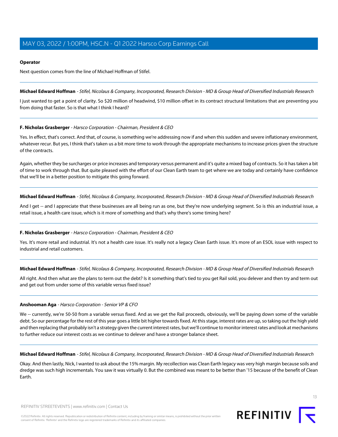# **Operator**

Next question comes from the line of Michael Hoffman of Stifel.

**Michael Edward Hoffman** - Stifel, Nicolaus & Company, Incorporated, Research Division - MD & Group Head of Diversified Industrials Research

I just wanted to get a point of clarity. So \$20 million of headwind, \$10 million offset in its contract structural limitations that are preventing you from doing that faster. So is that what I think I heard?

# **F. Nicholas Grasberger** - Harsco Corporation - Chairman, President & CEO

Yes. In effect, that's correct. And that, of course, is something we're addressing now if and when this sudden and severe inflationary environment, whatever recur. But yes, I think that's taken us a bit more time to work through the appropriate mechanisms to increase prices given the structure of the contracts.

Again, whether they be surcharges or price increases and temporary versus permanent and it's quite a mixed bag of contracts. So it has taken a bit of time to work through that. But quite pleased with the effort of our Clean Earth team to get where we are today and certainly have confidence that we'll be in a better position to mitigate this going forward.

**Michael Edward Hoffman** - Stifel, Nicolaus & Company, Incorporated, Research Division - MD & Group Head of Diversified Industrials Research

And I get -- and I appreciate that these businesses are all being run as one, but they're now underlying segment. So is this an industrial issue, a retail issue, a health care issue, which is it more of something and that's why there's some timing here?

# **F. Nicholas Grasberger** - Harsco Corporation - Chairman, President & CEO

Yes. It's more retail and industrial. It's not a health care issue. It's really not a legacy Clean Earth issue. It's more of an ESOL issue with respect to industrial and retail customers.

**Michael Edward Hoffman** - Stifel, Nicolaus & Company, Incorporated, Research Division - MD & Group Head of Diversified Industrials Research

All right. And then what are the plans to term out the debt? Is it something that's tied to you get Rail sold, you delever and then try and term out and get out from under some of this variable versus fixed issue?

# **Anshooman Aga** - Harsco Corporation - Senior VP & CFO

We -- currently, we're 50-50 from a variable versus fixed. And as we get the Rail proceeds, obviously, we'll be paying down some of the variable debt. So our percentage for the rest of this year goes a little bit higher towards fixed. At this stage, interest rates are up, so taking out the high yield and then replacing that probably isn't a strategy given the current interest rates, but we'll continue to monitor interest rates and look at mechanisms to further reduce our interest costs as we continue to delever and have a stronger balance sheet.

**Michael Edward Hoffman** - Stifel, Nicolaus & Company, Incorporated, Research Division - MD & Group Head of Diversified Industrials Research

Okay. And then lastly, Nick, I wanted to ask about the 15% margin. My recollection was Clean Earth legacy was very high margin because soils and dredge was such high incrementals. You saw it was virtually 0. But the combined was meant to be better than '15 because of the benefit of Clean Earth.